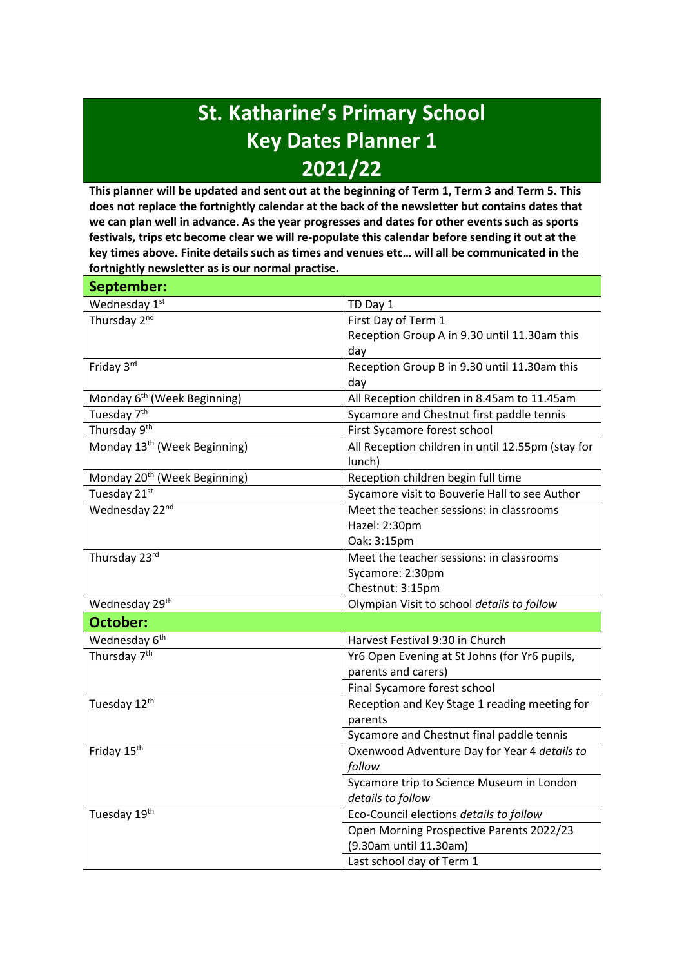## **St. Katharine's Primary School Key Dates Planner 1 2021/22**

**This planner will be updated and sent out at the beginning of Term 1, Term 3 and Term 5. This does not replace the fortnightly calendar at the back of the newsletter but contains dates that we can plan well in advance. As the year progresses and dates for other events such as sports festivals, trips etc become clear we will re-populate this calendar before sending it out at the key times above. Finite details such as times and venues etc… will all be communicated in the fortnightly newsletter as is our normal practise.**

| September:                               |                                                   |
|------------------------------------------|---------------------------------------------------|
| Wednesday 1st                            | TD Day 1                                          |
| Thursday 2nd                             | First Day of Term 1                               |
|                                          | Reception Group A in 9.30 until 11.30am this      |
|                                          | day                                               |
| Friday 3rd                               | Reception Group B in 9.30 until 11.30am this      |
|                                          | day                                               |
| Monday 6 <sup>th</sup> (Week Beginning)  | All Reception children in 8.45am to 11.45am       |
| Tuesday 7 <sup>th</sup>                  | Sycamore and Chestnut first paddle tennis         |
| Thursday 9 <sup>th</sup>                 | First Sycamore forest school                      |
| Monday 13 <sup>th</sup> (Week Beginning) | All Reception children in until 12.55pm (stay for |
|                                          | lunch)                                            |
| Monday 20 <sup>th</sup> (Week Beginning) | Reception children begin full time                |
| Tuesday 21st                             | Sycamore visit to Bouverie Hall to see Author     |
| Wednesday 22nd                           | Meet the teacher sessions: in classrooms          |
|                                          | Hazel: 2:30pm                                     |
|                                          | Oak: 3:15pm                                       |
| Thursday 23rd                            | Meet the teacher sessions: in classrooms          |
|                                          | Sycamore: 2:30pm                                  |
|                                          | Chestnut: 3:15pm                                  |
| Wednesday 29 <sup>th</sup>               | Olympian Visit to school details to follow        |
| October:                                 |                                                   |
| Wednesday 6 <sup>th</sup>                | Harvest Festival 9:30 in Church                   |
| Thursday 7 <sup>th</sup>                 | Yr6 Open Evening at St Johns (for Yr6 pupils,     |
|                                          | parents and carers)                               |
|                                          | Final Sycamore forest school                      |
| Tuesday 12th                             | Reception and Key Stage 1 reading meeting for     |
|                                          | parents                                           |
|                                          | Sycamore and Chestnut final paddle tennis         |
| Friday 15 <sup>th</sup>                  | Oxenwood Adventure Day for Year 4 details to      |
|                                          | follow                                            |
|                                          | Sycamore trip to Science Museum in London         |
|                                          | details to follow                                 |
| Tuesday 19th                             | Eco-Council elections details to follow           |
|                                          | Open Morning Prospective Parents 2022/23          |
|                                          | (9.30am until 11.30am)                            |
|                                          | Last school day of Term 1                         |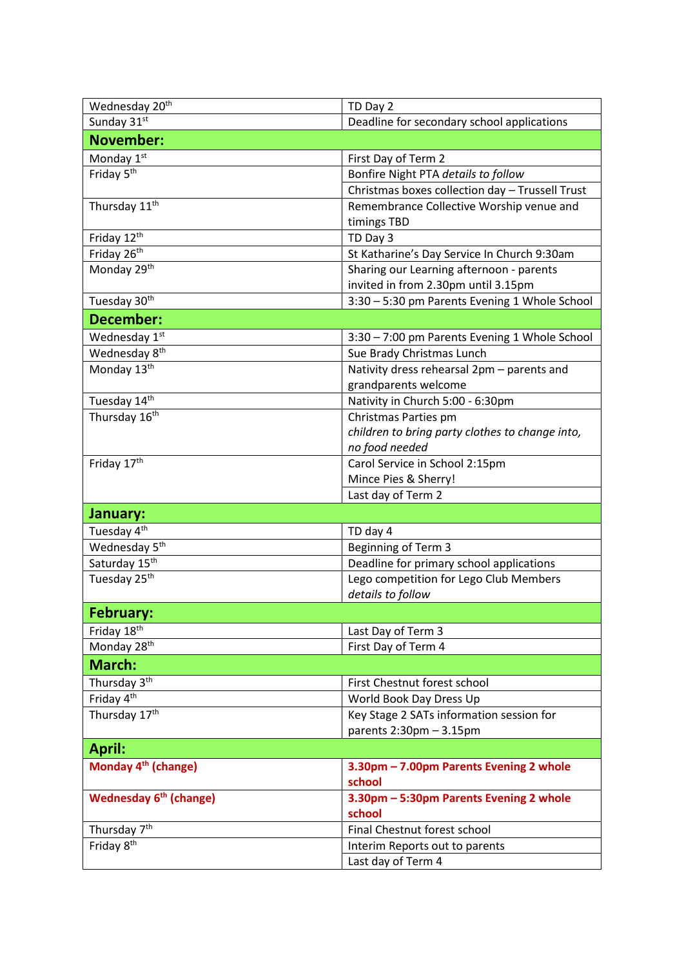| Wednesday 20 <sup>th</sup>      | TD Day 2                                        |
|---------------------------------|-------------------------------------------------|
| Sunday 31st                     | Deadline for secondary school applications      |
| <b>November:</b>                |                                                 |
| Monday 1st                      | First Day of Term 2                             |
| Friday 5 <sup>th</sup>          | Bonfire Night PTA details to follow             |
|                                 | Christmas boxes collection day - Trussell Trust |
| Thursday 11 <sup>th</sup>       | Remembrance Collective Worship venue and        |
|                                 | timings TBD                                     |
| Friday 12th                     | TD Day 3                                        |
| Friday 26 <sup>th</sup>         | St Katharine's Day Service In Church 9:30am     |
| Monday 29 <sup>th</sup>         | Sharing our Learning afternoon - parents        |
|                                 | invited in from 2.30pm until 3.15pm             |
| Tuesday 30 <sup>th</sup>        | 3:30 - 5:30 pm Parents Evening 1 Whole School   |
| <b>December:</b>                |                                                 |
| Wednesday 1st                   | 3:30 - 7:00 pm Parents Evening 1 Whole School   |
| Wednesday 8 <sup>th</sup>       | Sue Brady Christmas Lunch                       |
| Monday 13 <sup>th</sup>         | Nativity dress rehearsal 2pm - parents and      |
|                                 | grandparents welcome                            |
| Tuesday 14th                    | Nativity in Church 5:00 - 6:30pm                |
| Thursday 16 <sup>th</sup>       | Christmas Parties pm                            |
|                                 | children to bring party clothes to change into, |
|                                 | no food needed                                  |
| Friday 17th                     | Carol Service in School 2:15pm                  |
|                                 | Mince Pies & Sherry!                            |
|                                 | Last day of Term 2                              |
| January:                        |                                                 |
| Tuesday 4 <sup>th</sup>         | TD day 4                                        |
| Wednesday 5 <sup>th</sup>       | Beginning of Term 3                             |
| Saturday 15 <sup>th</sup>       | Deadline for primary school applications        |
| Tuesday 25 <sup>th</sup>        | Lego competition for Lego Club Members          |
|                                 | details to follow                               |
| February:                       |                                                 |
| Friday 18th                     | Last Day of Term 3                              |
| Monday 28 <sup>th</sup>         | First Day of Term 4                             |
| March:                          |                                                 |
| Thursday 3 <sup>th</sup>        | First Chestnut forest school                    |
| Friday 4 <sup>th</sup>          | World Book Day Dress Up                         |
| Thursday 17 <sup>th</sup>       | Key Stage 2 SATs information session for        |
|                                 | parents $2:30$ pm $-3.15$ pm                    |
| <b>April:</b>                   |                                                 |
| Monday 4 <sup>th</sup> (change) | 3.30pm - 7.00pm Parents Evening 2 whole         |
|                                 | school                                          |
| <b>Wednesday 6th (change)</b>   | 3.30pm - 5:30pm Parents Evening 2 whole         |
|                                 | school                                          |
| Thursday 7 <sup>th</sup>        | Final Chestnut forest school                    |
| Friday 8 <sup>th</sup>          | Interim Reports out to parents                  |
|                                 | Last day of Term 4                              |